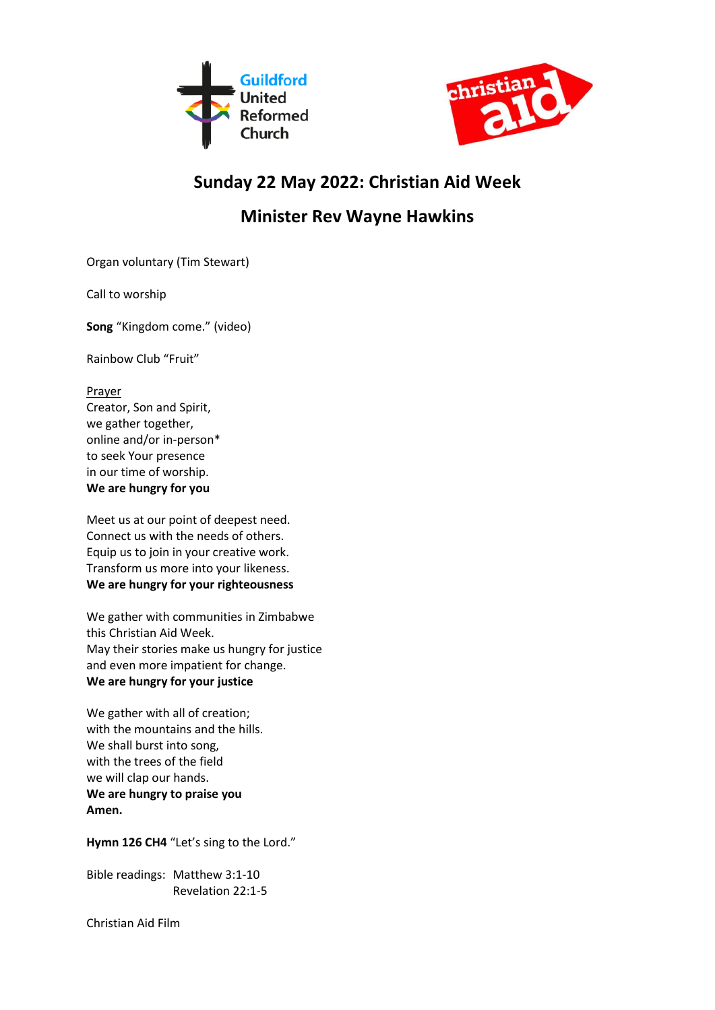



## **Sunday 22 May 2022: Christian Aid Week**

## **Minister Rev Wayne Hawkins**

Organ voluntary (Tim Stewart)

Call to worship

**Song** "Kingdom come." (video)

Rainbow Club "Fruit"

## Prayer

Creator, Son and Spirit, we gather together, online and/or in-person\* to seek Your presence in our time of worship. **We are hungry for you**

Meet us at our point of deepest need. Connect us with the needs of others. Equip us to join in your creative work. Transform us more into your likeness. **We are hungry for your righteousness**

We gather with communities in Zimbabwe this Christian Aid Week. May their stories make us hungry for justice and even more impatient for change. **We are hungry for your justice**

We gather with all of creation; with the mountains and the hills. We shall burst into song, with the trees of the field we will clap our hands. **We are hungry to praise you Amen.**

**Hymn 126 CH4** "Let's sing to the Lord."

Bible readings: Matthew 3:1-10 Revelation 22:1-5

Christian Aid Film